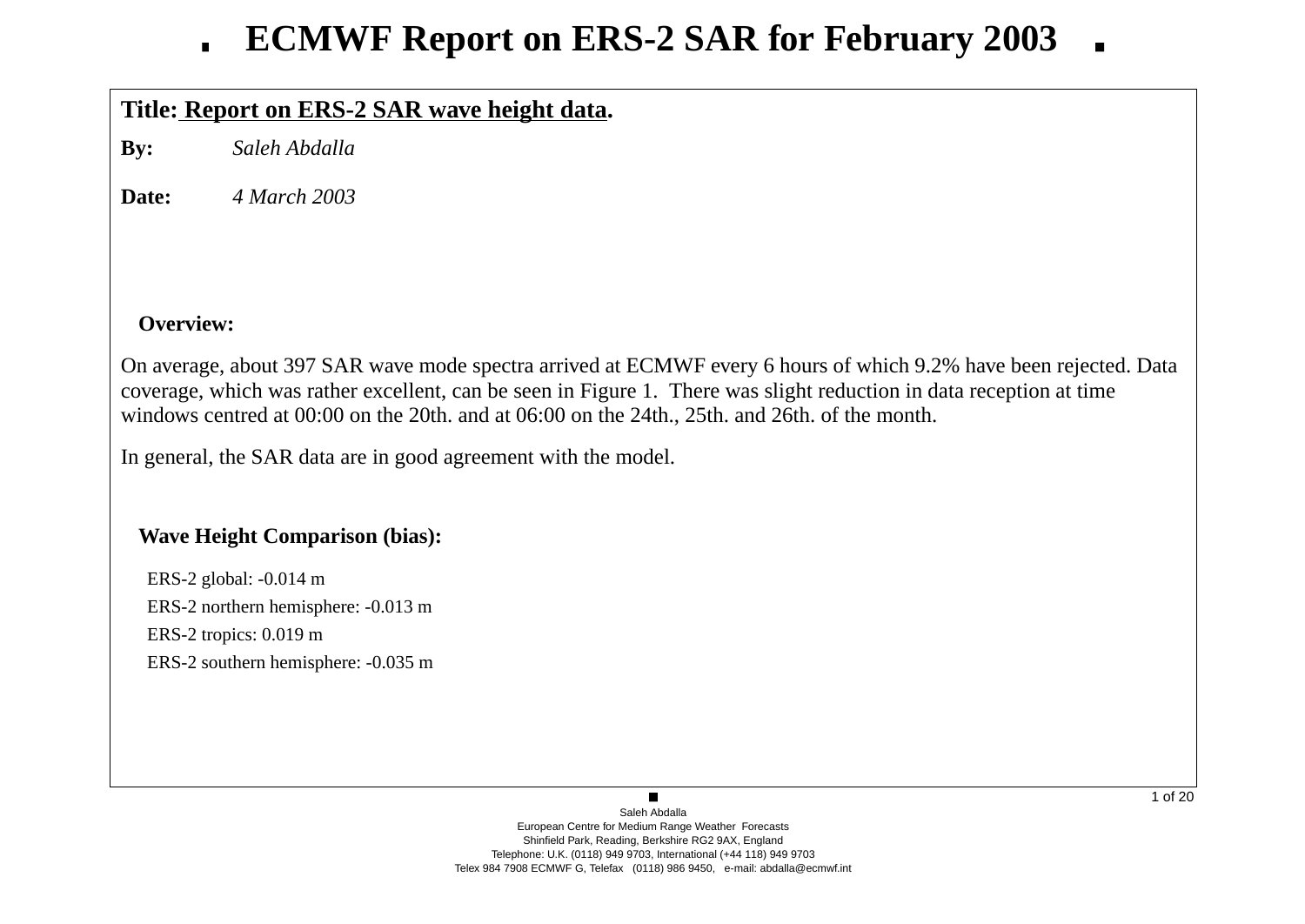# **Title: Report on ERS-2 SAR wave height data.**

**By:***Saleh Abdalla*

**Date:***4 March 2003*

# **Overview:**

On average, about 397 SAR wave mode spectra arrived at ECMWF every 6 hours of which 9.2% have been rejected. Data<br>coverage, which was rather excellent, can be seen in Figure 1. There was slight reduction in data recention coverage, which was rather excellent, can be seen in Figure 1. There was slight reduction in data reception at timewindows centred at 00:00 on the 20th. and at 06:00 on the 24th., 25th. and 26th. of the month.

In general, the SAR data are in good agreement with the model.

# **Wave Height Comparison (bias):**

ERS-2 global: -0.014 m ERS-2 northern hemisphere: -0.013 mERS-2 tropics: 0.019 mERS-2 southern hemisphere: -0.035 m

> Saleh Abdalla European Centre for Medium Range Weather Forecasts Shinfield Park, Reading, Berkshire RG2 9AX, England Telephone: U.K. (0118) 949 9703, International (+44 118) 949 9703Telex 984 7908 ECMWF G, Telefax (0118) 986 9450, e-mail: abdalla@ecmwf.int

 $\blacksquare$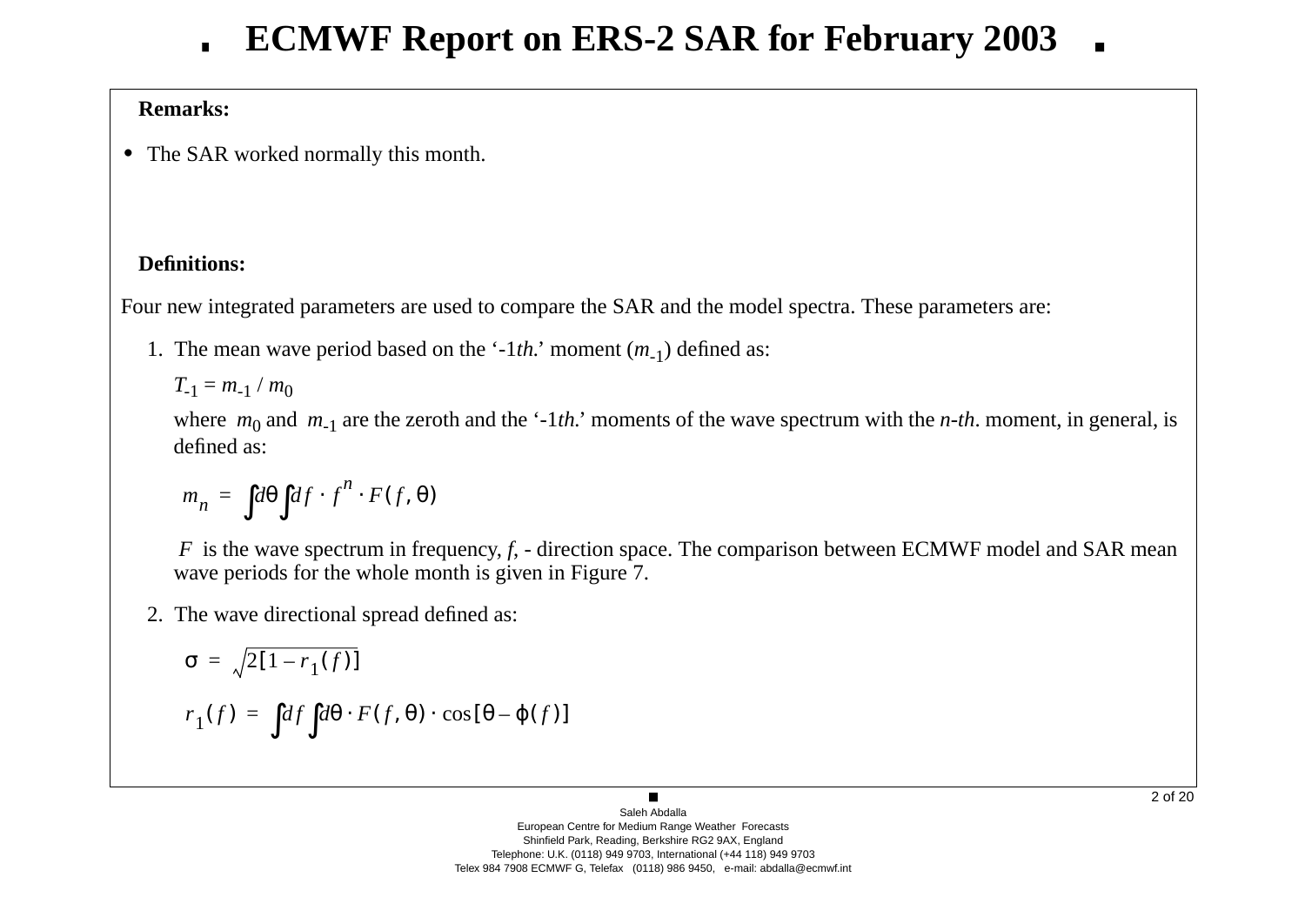# **Remarks:**

**•** The SAR worked normally this month.

# **Definitions:**

Four new integrated parameters are used to compare the SAR and the model spectra. These parameters are:

1. The mean wave period based on the '-1*th.*' moment (*<sup>m</sup>*-1) defined as:

 $T_{-1} = m_{-1} / m_0$ 

where  $m_0$  and  $m_{-1}$  are the zeroth and the '-1*th*.' moments of the wave spectrum with the *n*-*th*. moment, in general, is defined as:

$$
m_n = \int d\theta \int df \cdot f^n \cdot F(f, \theta)
$$

*F* is the wave spectrum in frequency, *f*, - direction space. The comparison between ECMWF model and SAR mean varieds for the whole month is given in Figure 7. wave periods for the whole month is given in Figure 7.

2. The wave directional spread defined as:

$$
\sigma = \sqrt{2[1 - r_1(f)]}
$$

$$
r_1(f) = \int df \int d\theta \cdot F(f, \theta) \cdot \cos[\theta - \varphi(f)]
$$

2 of 20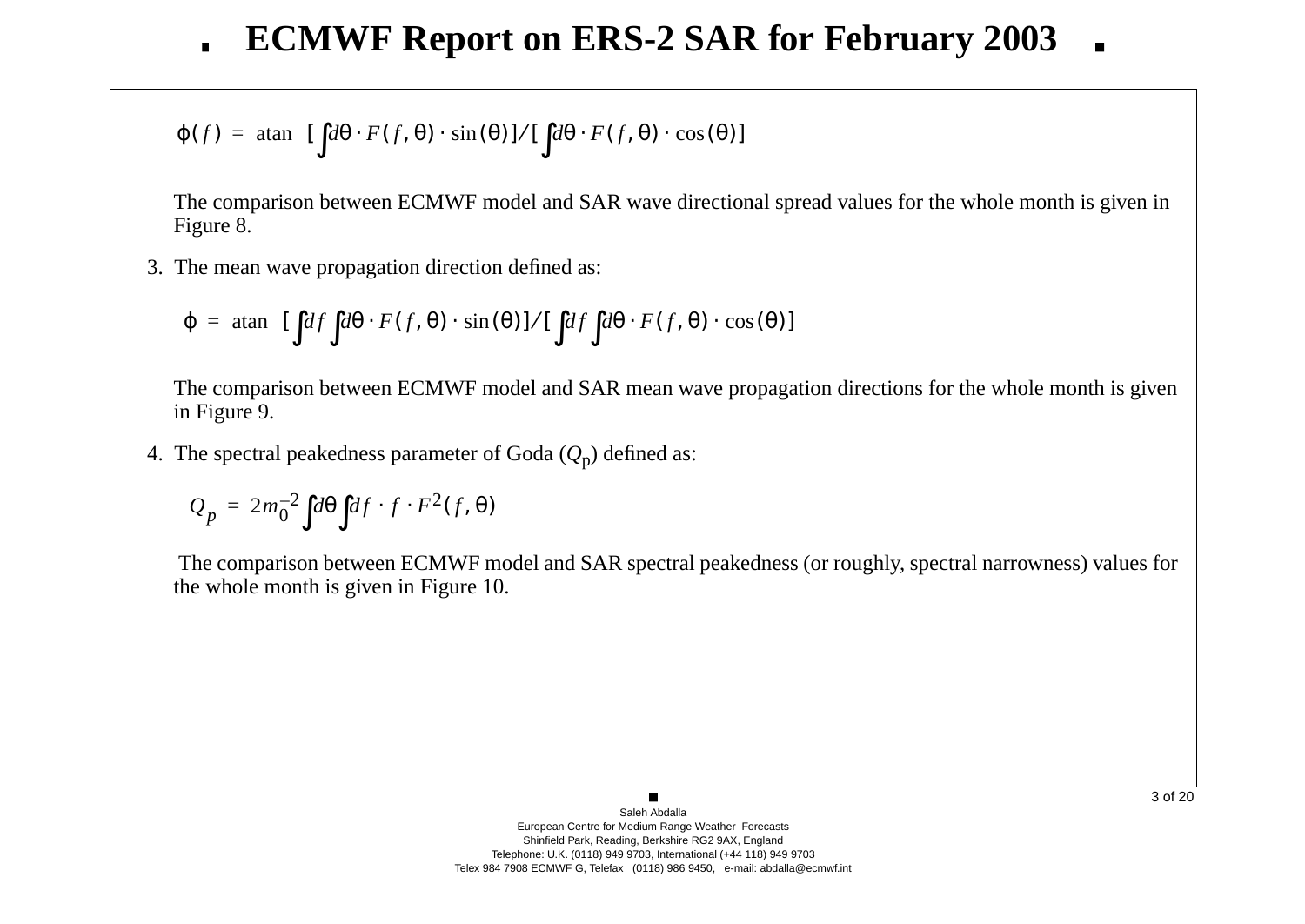$$
\varphi(f) = \operatorname{atan} \left\{ [\int d\theta \cdot F(f, \theta) \cdot \sin(\theta)] / [\int d\theta \cdot F(f, \theta) \cdot \cos(\theta)] \right\}
$$

The comparison between ECMWF model and SAR wave directional spread values for the whole month is given inFigure 8.

3. The mean wave propagation direction defined as:

$$
\varphi = \text{atan}\Bigg\{ \left[ \int df \int d\theta \cdot F(f, \theta) \cdot \sin(\theta) \right] / \left[ \int df \int d\theta \cdot F(f, \theta) \cdot \cos(\theta) \right] \Bigg\}
$$

The comparison between ECMWF model and SAR mean wave propagation directions for the whole month is given<br>in Figure 0 in Figure 9.

4. The spectral peakedness parameter of Goda (*Q*<sup>p</sup>) defined as:

$$
Q_p = 2m_0^{-2} \int d\theta \int df \cdot f \cdot F^2(f, \theta)
$$

The comparison between ECMWF model and SAR spectral peakedness (or roughly, spectral narrowness) values for the whole month is given in Figure 10.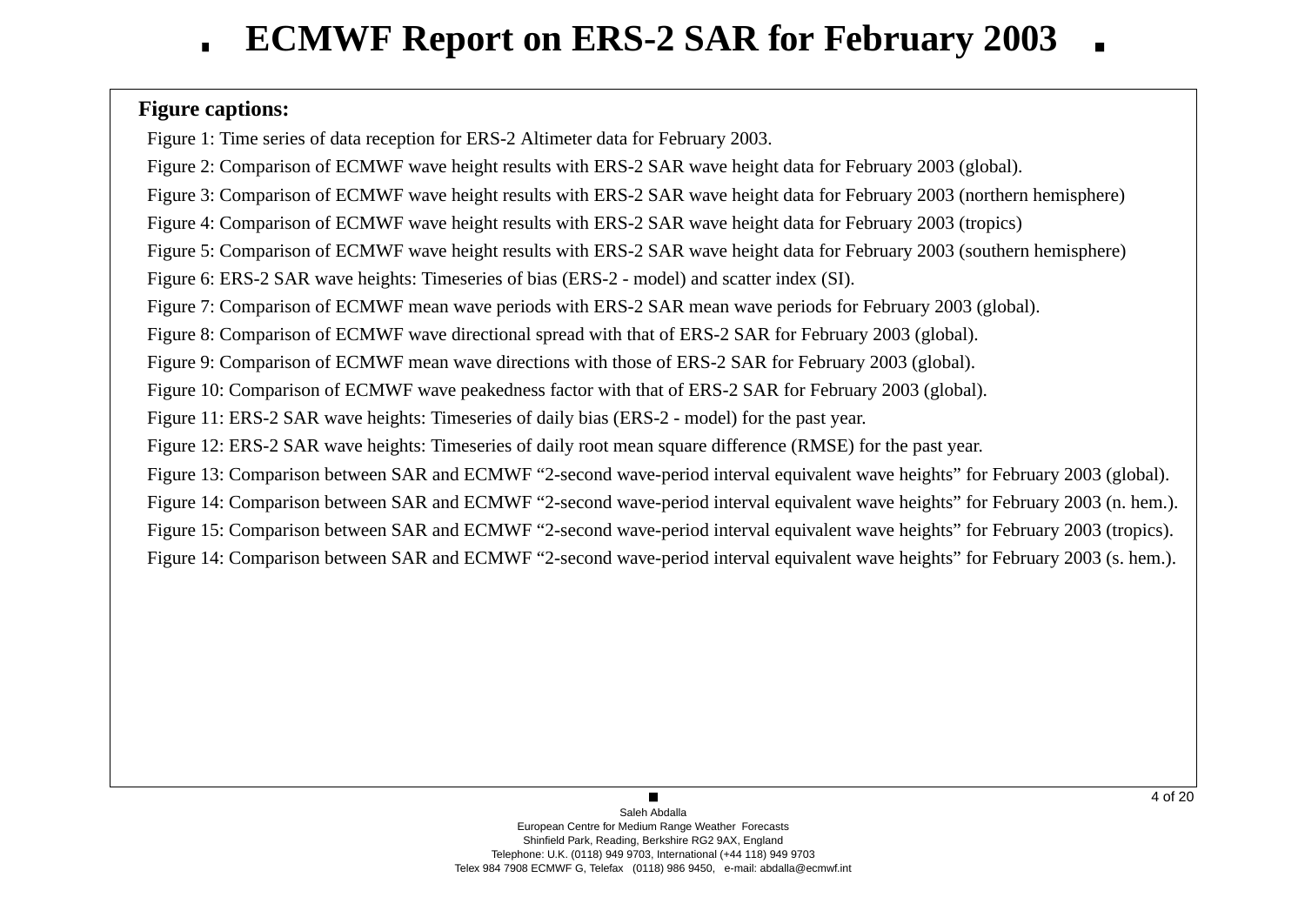# **Figure captions:**

Figure 1: Time series of data reception for ERS-2 Altimeter data for February 2003.

Figure 2: Comparison of ECMWF wave height results with ERS-2 SAR wave height data for February 2003 (global).

Figure 3: Comparison of ECMWF wave height results with ERS-2 SAR wave height data for February 2003 (northern hemisphere)

Figure 4: Comparison of ECMWF wave height results with ERS-2 SAR wave height data for February 2003 (tropics)

Figure 5: Comparison of ECMWF wave height results with ERS-2 SAR wave height data for February 2003 (southern hemisphere)

Figure 6: ERS-2 SAR wave heights: Timeseries of bias (ERS-2 - model) and scatter index (SI).

Figure 7: Comparison of ECMWF mean wave periods with ERS-2 SAR mean wave periods for February 2003 (global).

Figure 8: Comparison of ECMWF wave directional spread with that of ERS-2 SAR for February 2003 (global).

Figure 9: Comparison of ECMWF mean wave directions with those of ERS-2 SAR for February 2003 (global).

Figure 10: Comparison of ECMWF wave peakedness factor with that of ERS-2 SAR for February 2003 (global).

Figure 11: ERS-2 SAR wave heights: Timeseries of daily bias (ERS-2 - model) for the past year.

Figure 12: ERS-2 SAR wave heights: Timeseries of daily root mean square difference (RMSE) for the past year.

Figure 13: Comparison between SAR and ECMWF "2-second wave-period interval equivalent wave heights" for February 2003 (global).

Figure 14: Comparison between SAR and ECMWF "2-second wave-period interval equivalent wave heights" for February 2003 (n. hem.).

Figure 15: Comparison between SAR and ECMWF "2-second wave-period interval equivalent wave heights" for February 2003 (tropics).

Figure 14: Comparison between SAR and ECMWF "2-second wave-period interval equivalent wave heights" for February 2003 (s. hem.).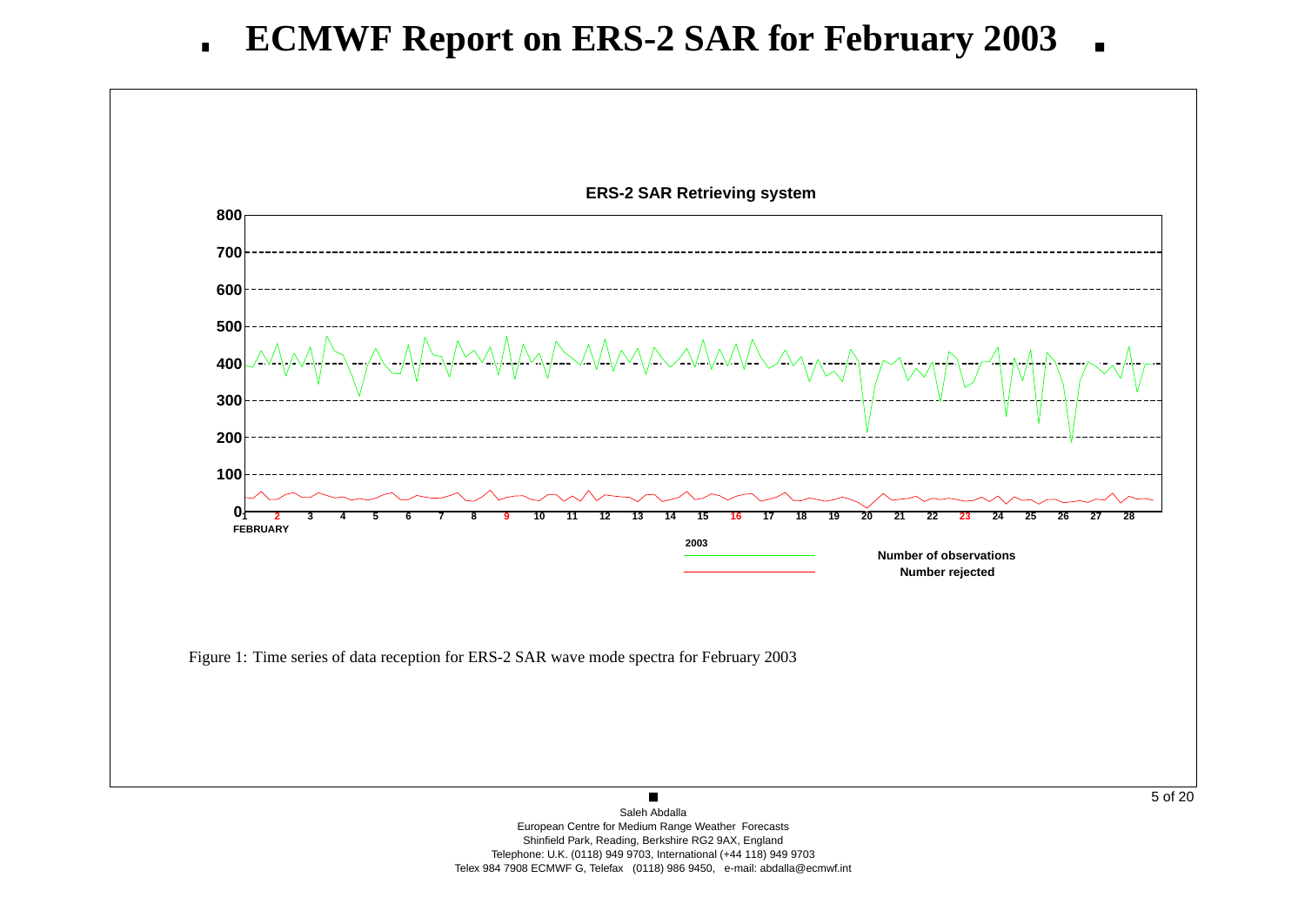

 Shinfield Park, Reading, Berkshire RG2 9AX, England Telephone: U.K. (0118) 949 9703, International (+44 118) 949 9703Telex 984 7908 ECMWF G, Telefax (0118) 986 9450, e-mail: abdalla@ecmwf.int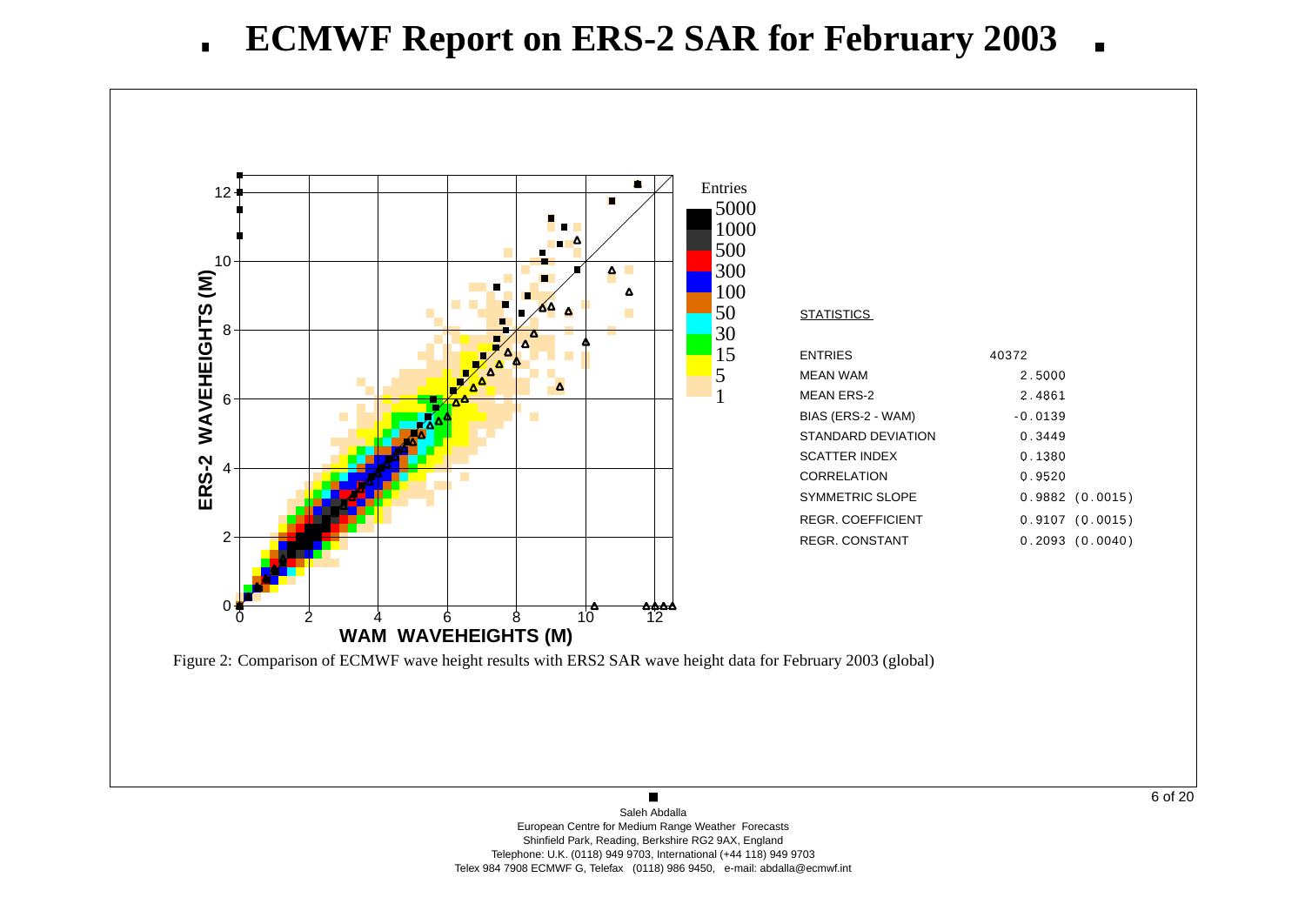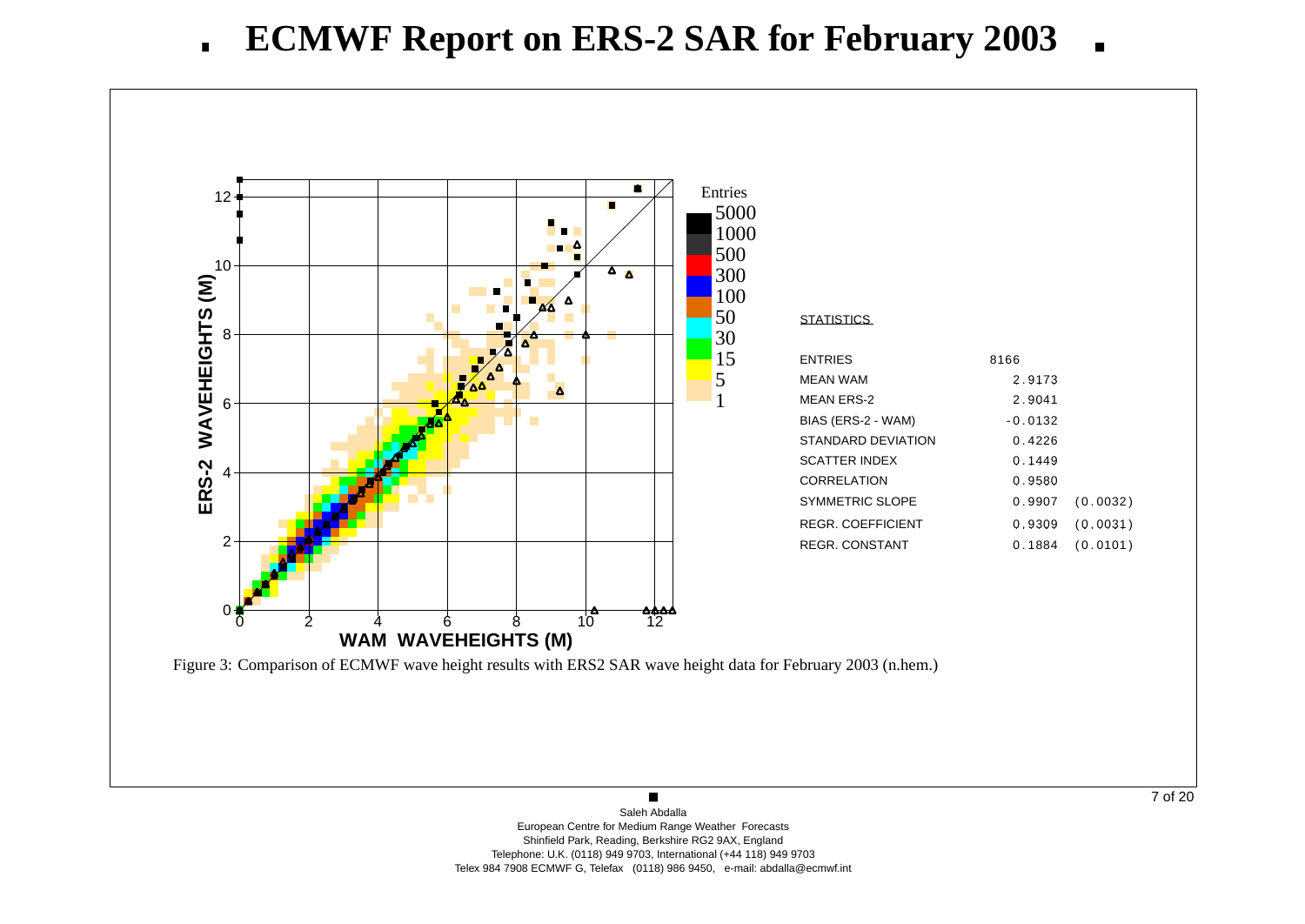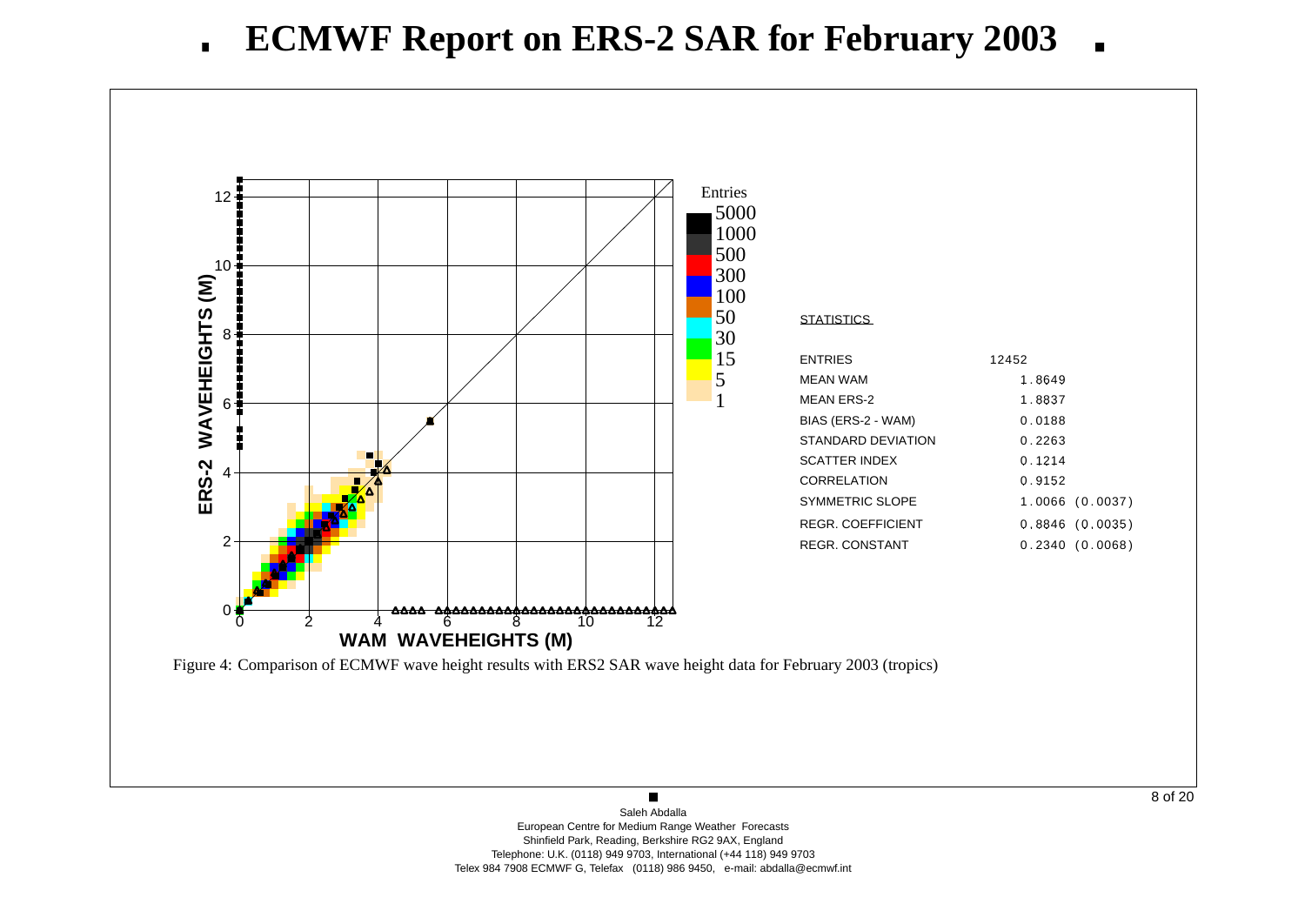

8 of 20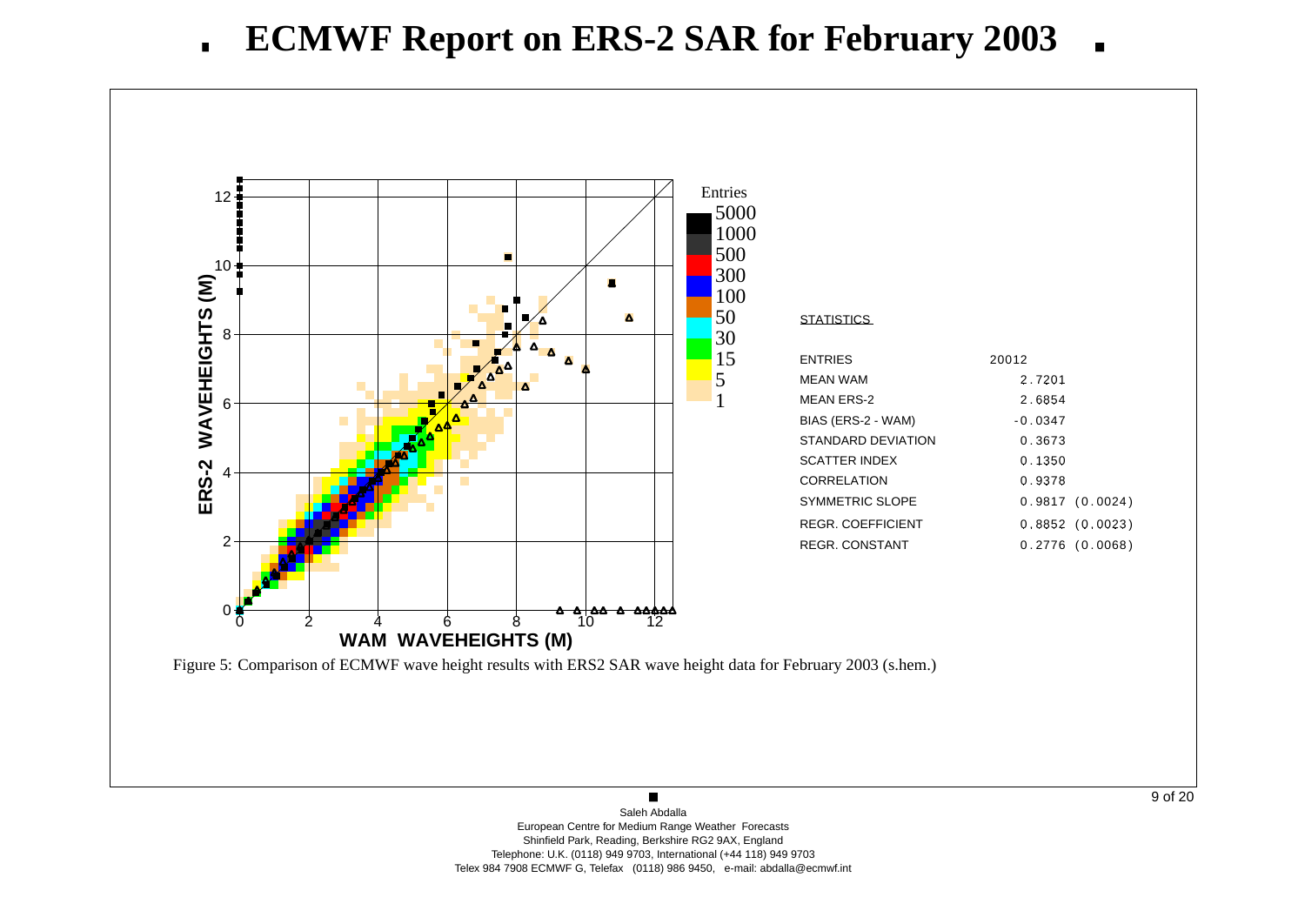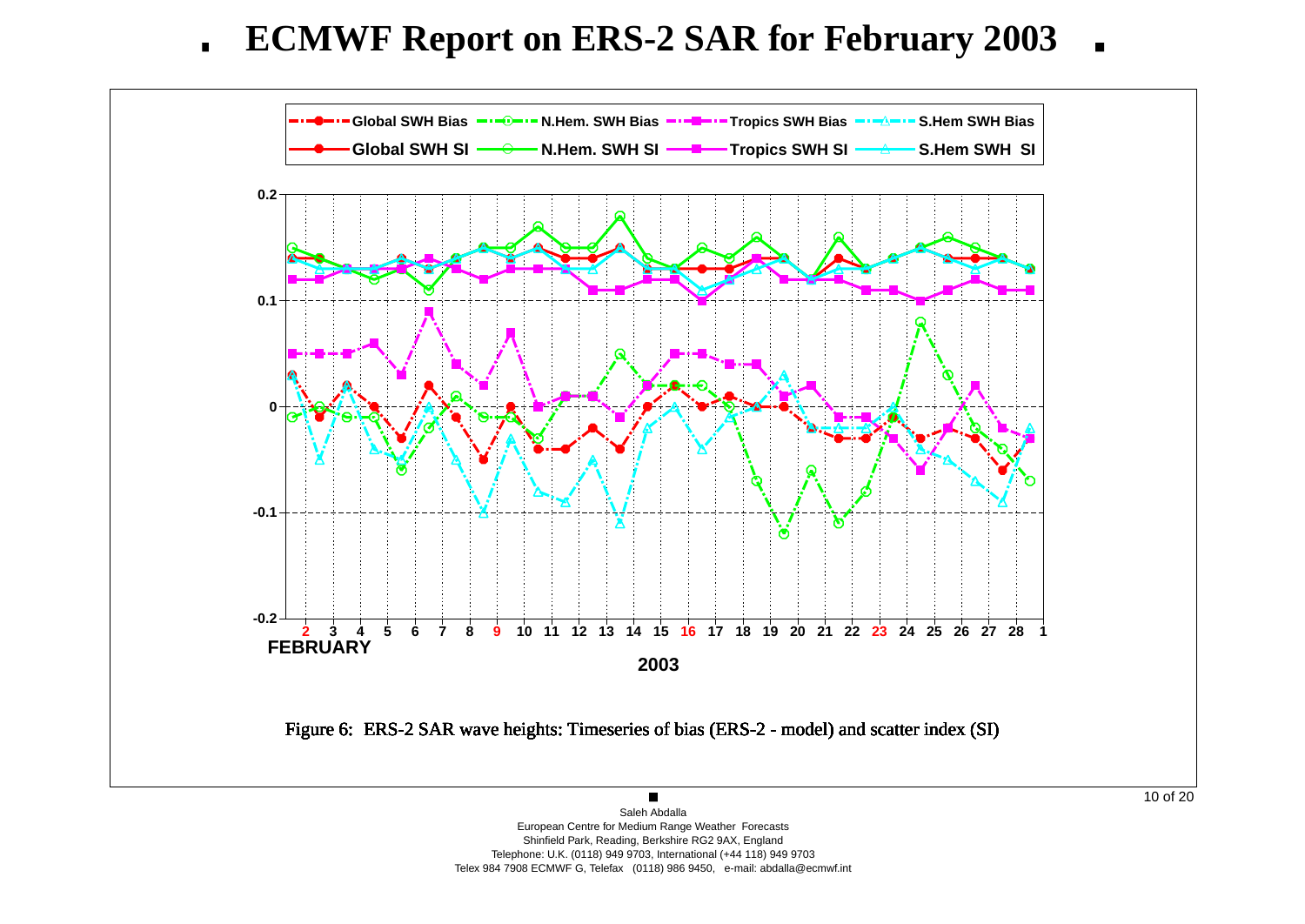

 Shinfield Park, Reading, Berkshire RG2 9AX, England Telephone: U.K. (0118) 949 9703, International (+44 118) 949 9703Telex 984 7908 ECMWF G, Telefax (0118) 986 9450, e-mail: abdalla@ecmwf.int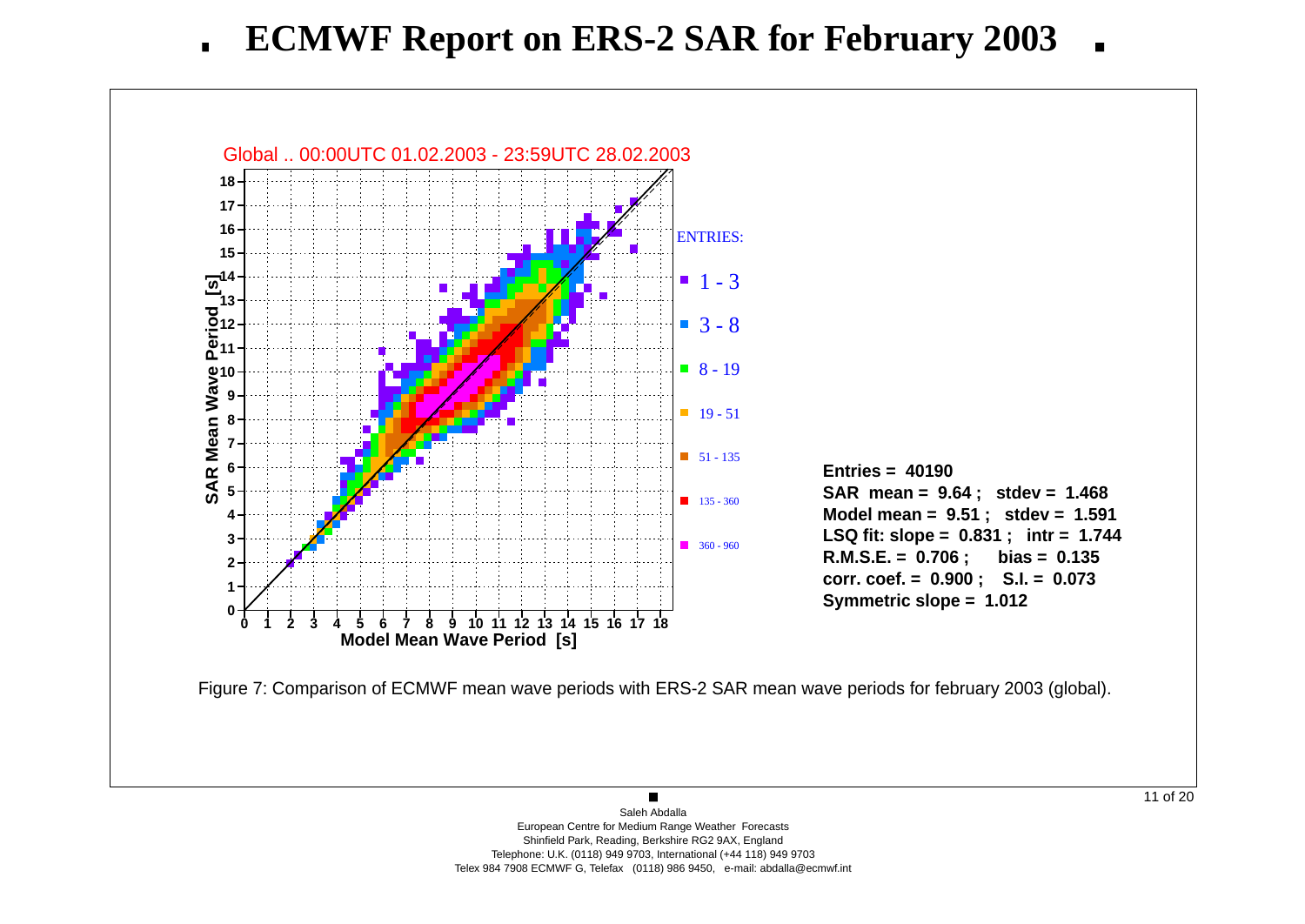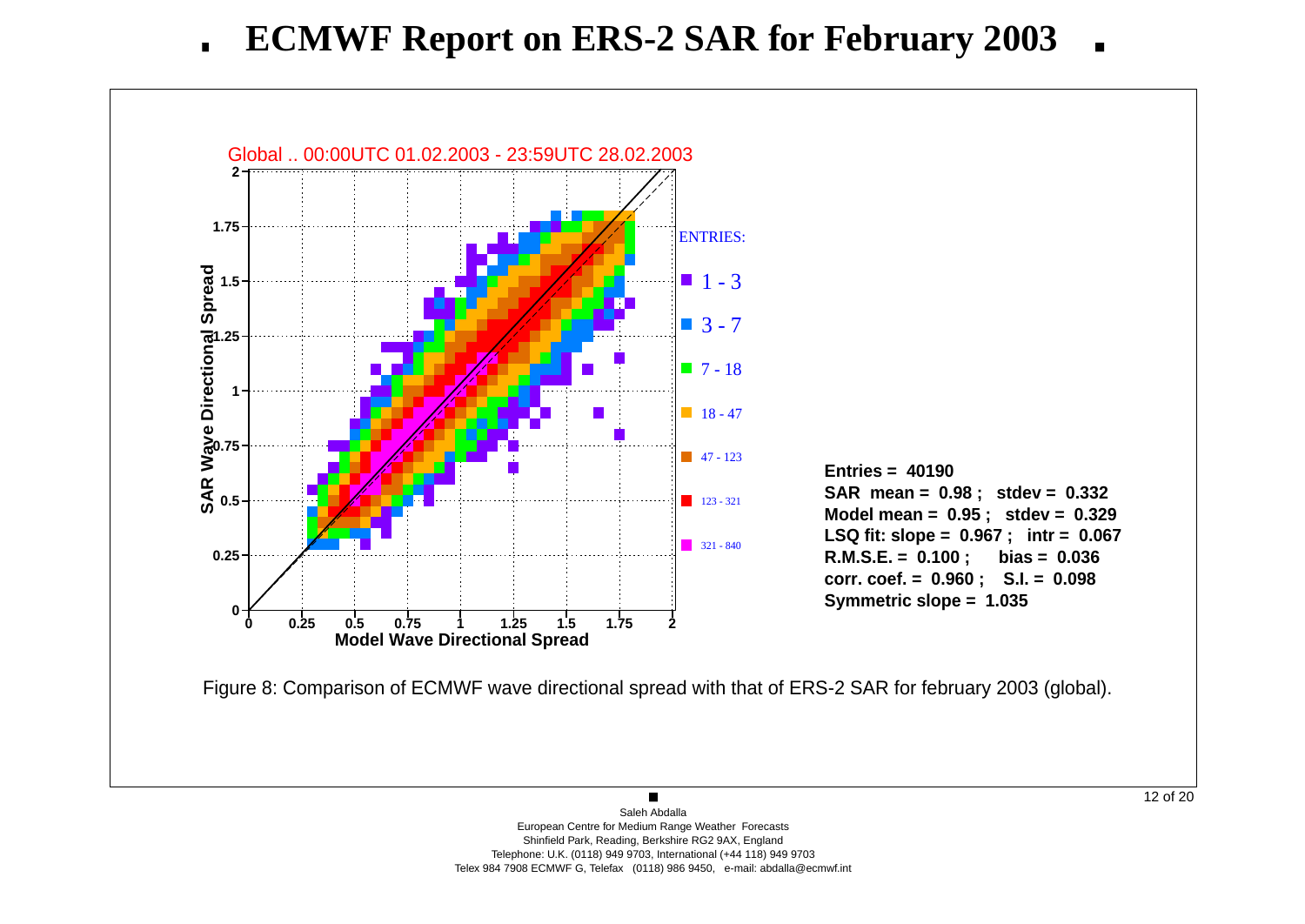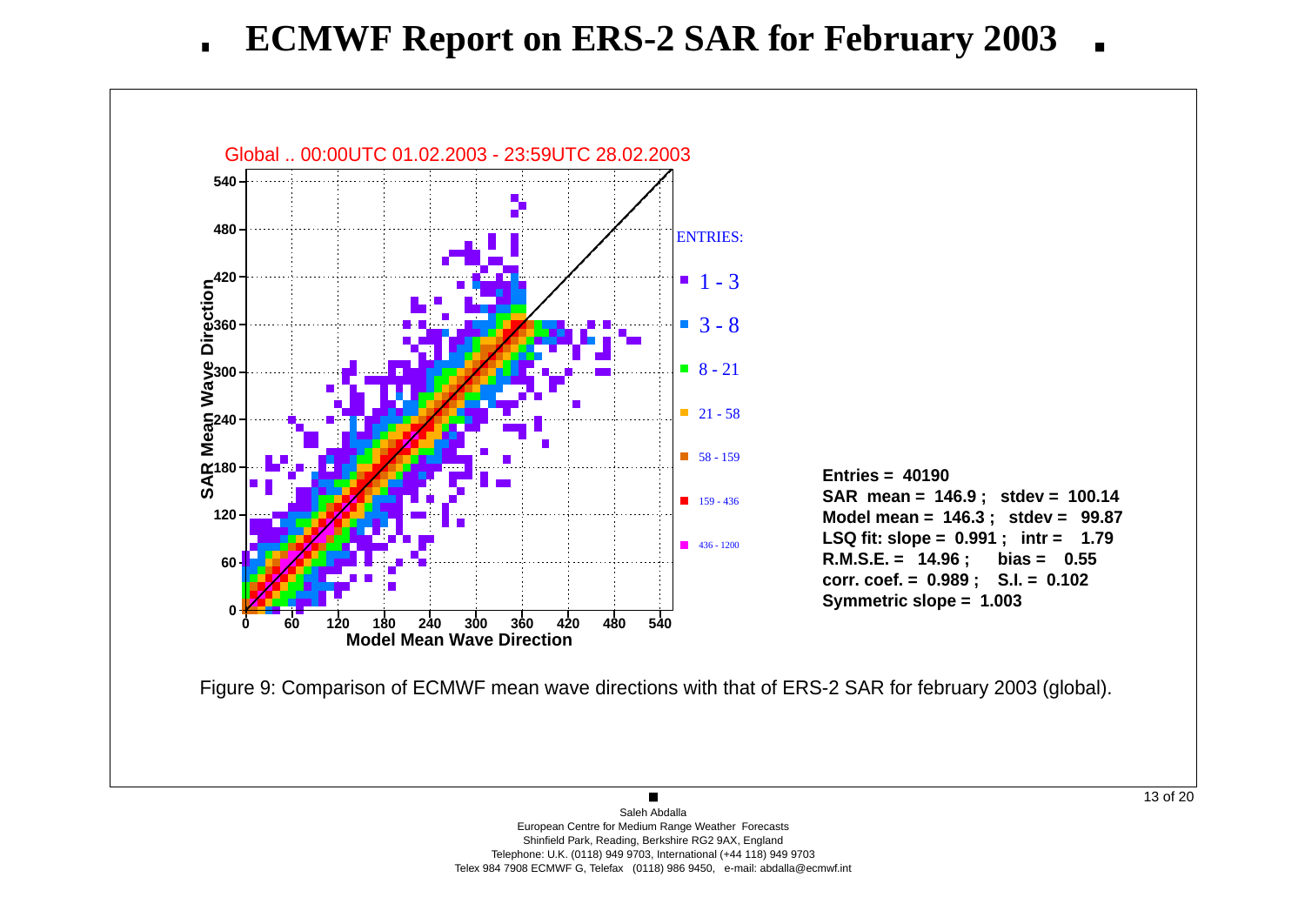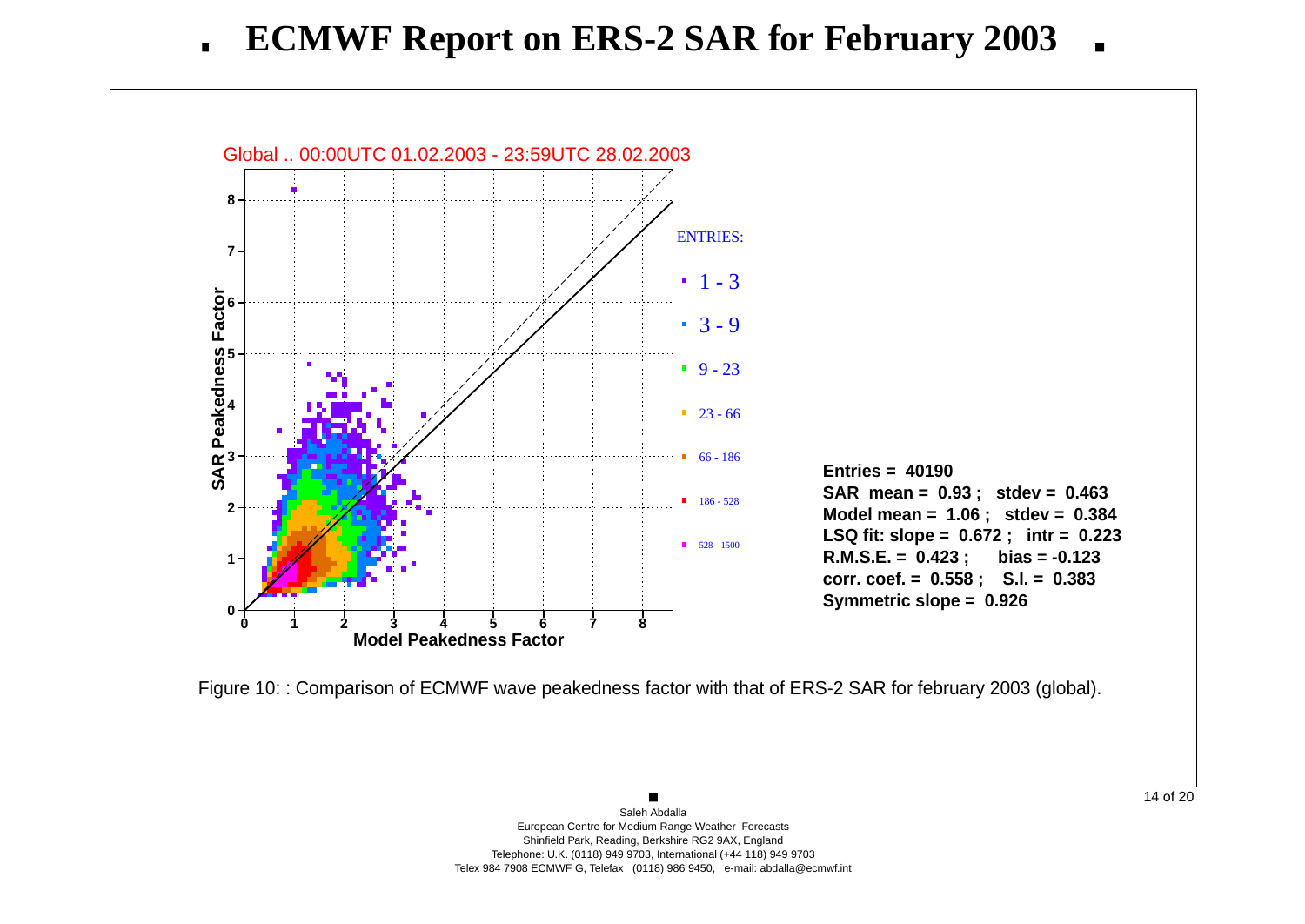**ECMWF Report on ERS-2 SAR for February 2003** $\blacksquare$ 

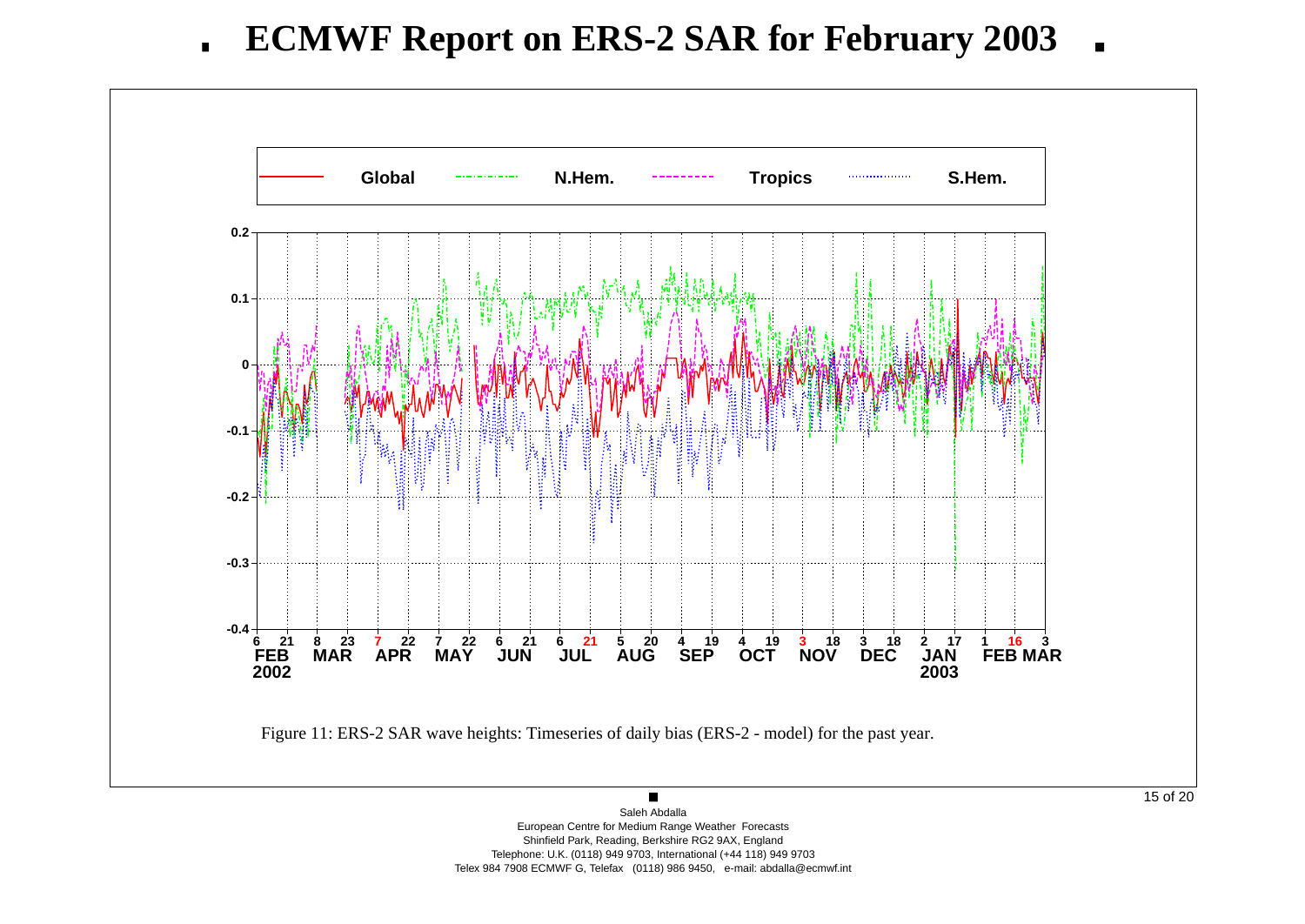

 European Centre for Medium Range Weather Forecasts Shinfield Park, Reading, Berkshire RG2 9AX, England Telephone: U.K. (0118) 949 9703, International (+44 118) 949 9703Telex 984 7908 ECMWF G, Telefax (0118) 986 9450, e-mail: abdalla@ecmwf.int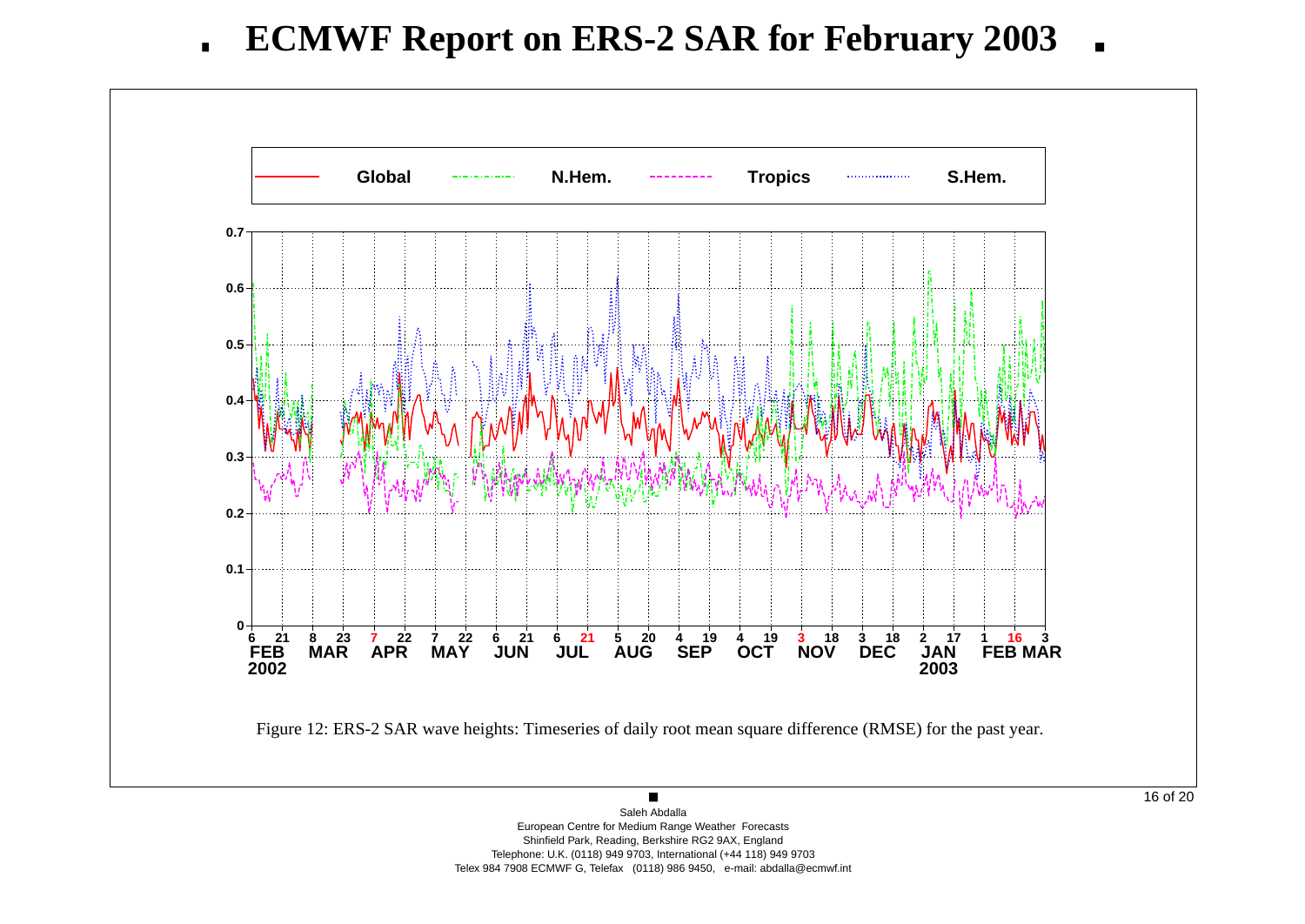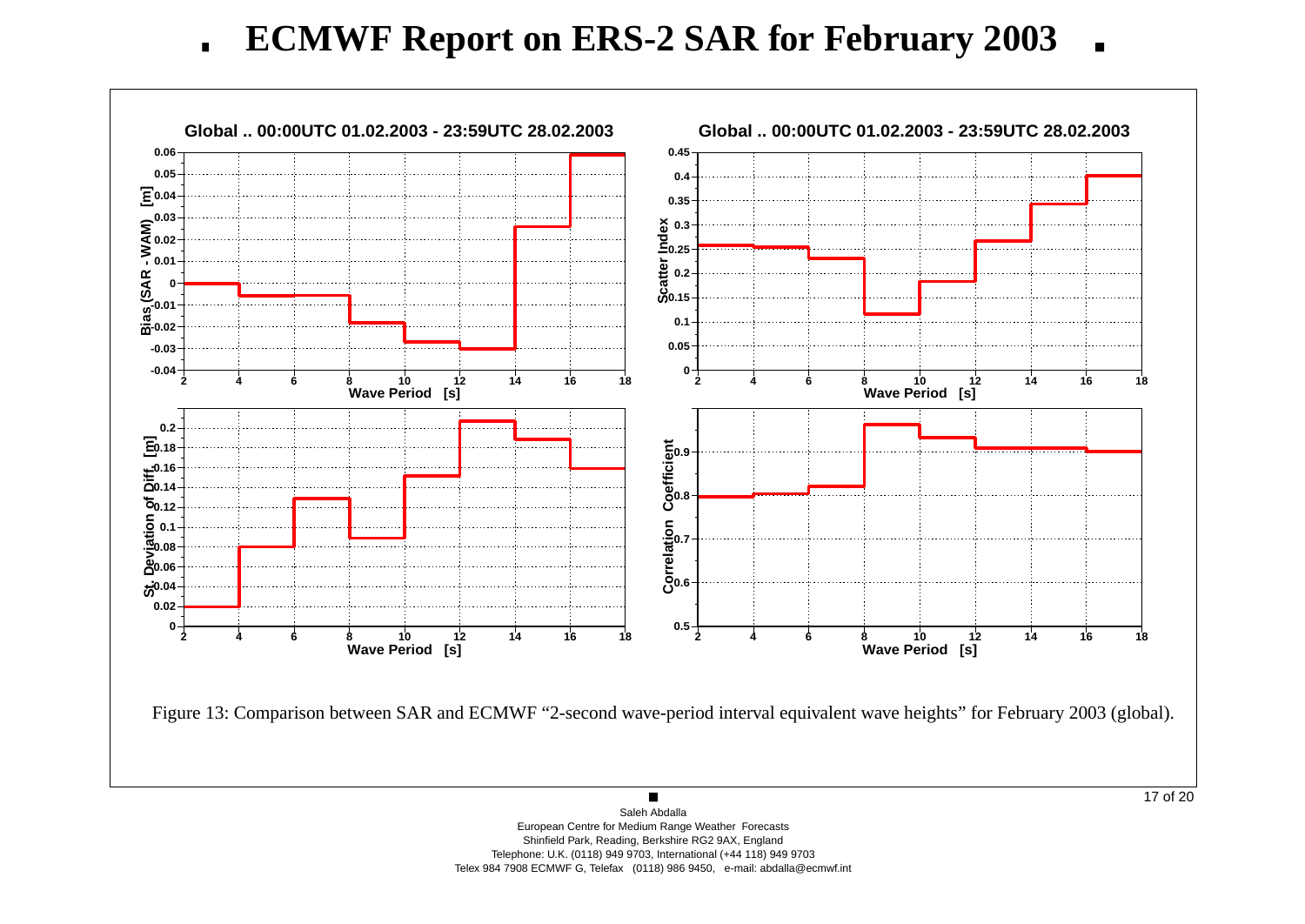**ECMWF Report on ERS-2 SAR for February 2003** $\blacksquare$ 

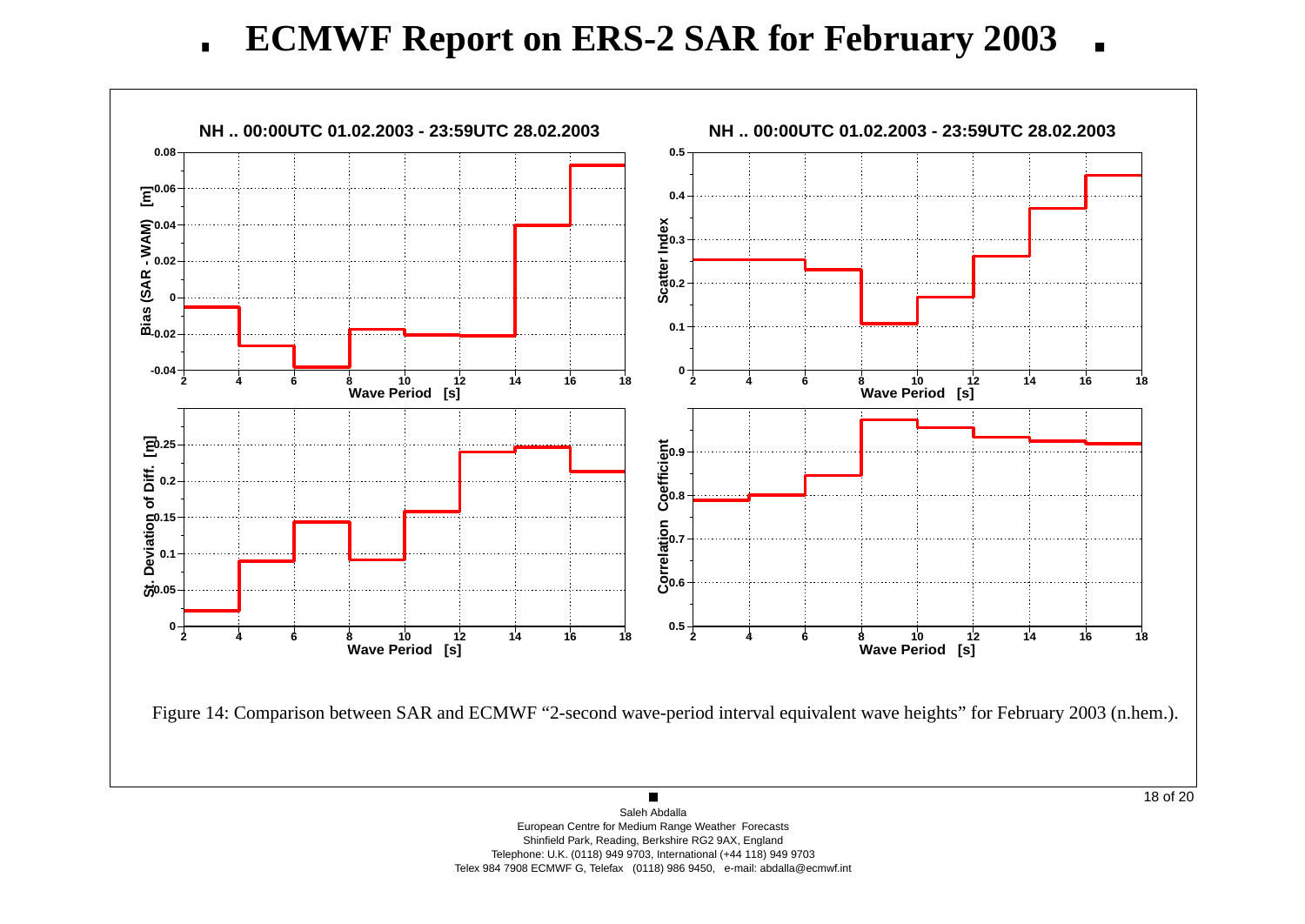**ECMWF Report on ERS-2 SAR for February 2003** $\blacksquare$ 

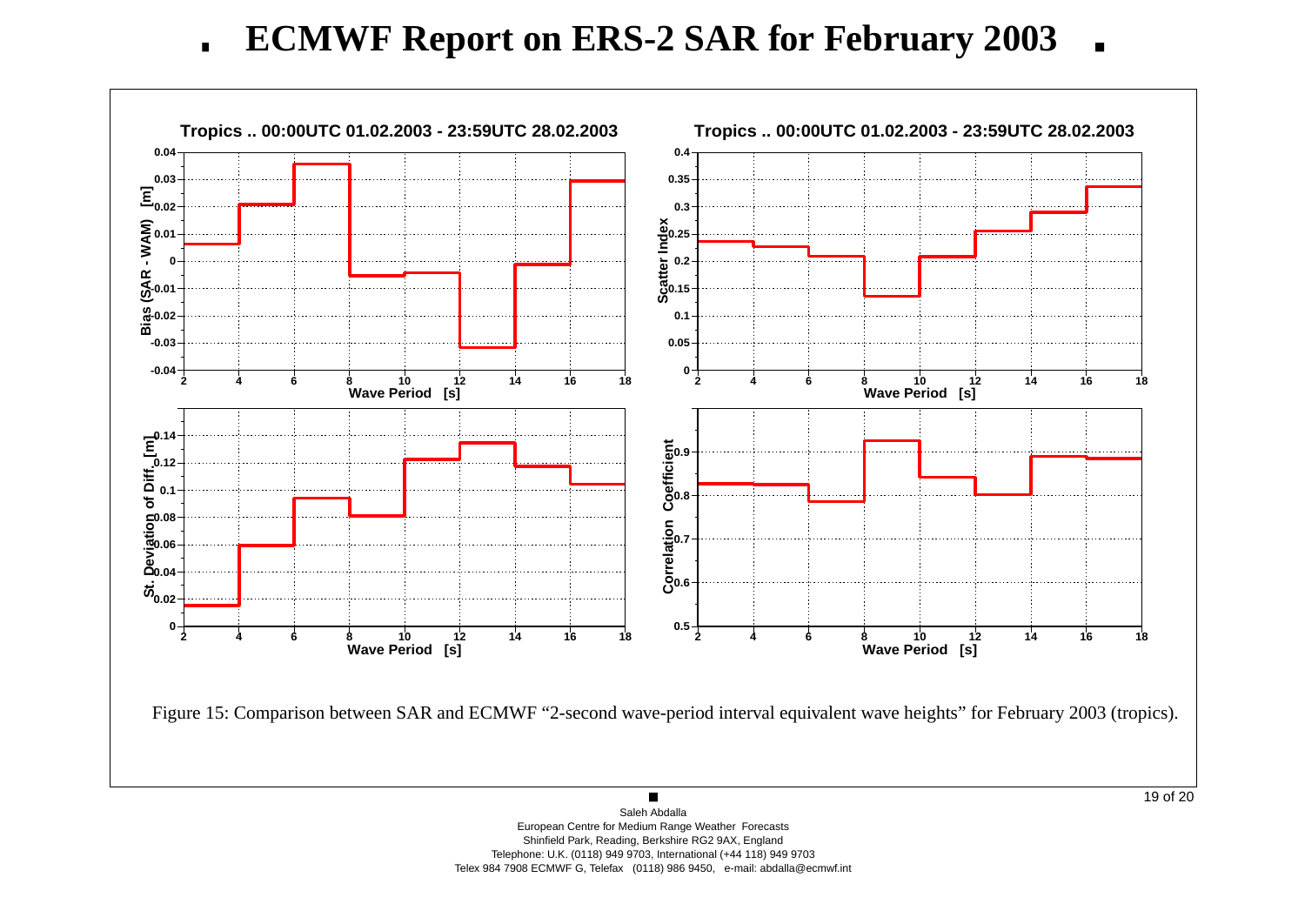**ECMWF Report on ERS-2 SAR for February 2003** $\blacksquare$